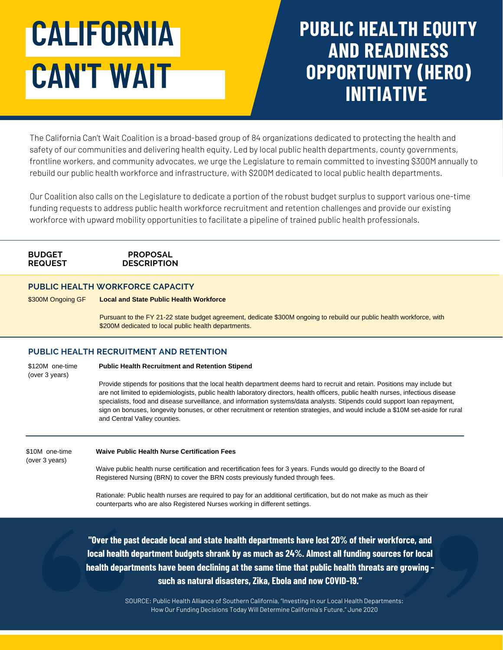# **CALIFORNIA CAN'T WAIT**

# **PUBLIC HEALTH EQUITY AND READINESS OPPORTUNITY (HERO) INITIATIVE**

The California Can't Wait Coalition is a broad-based group of 84 organizations dedicated to protecting the health and safety of our communities and delivering health equity. Led by local public health departments, county governments, frontline workers, and community advocates, we urge the Legislature to remain committed to investing \$300M annually to rebuild our public health workforce and infrastructure, with \$200M dedicated to local public health departments.

Our Coalition also calls on the Legislature to dedicate a portion of the robust budget surplus to support various one-time funding requests to address public health workforce recruitment and retention challenges and provide our existing workforce with upward mobility opportunities to facilitate a pipeline of trained public health professionals.

# **BUDGET REQUEST**

### **PROPOSAL DESCRIPTION**

# **PUBLIC HEALTH WORKFORCE CAPACITY**

\$300M Ongoing GF **Local and State Public Health Workforce**

Pursuant to the FY 21-22 state budget agreement, dedicate \$300M ongoing to rebuild our public health workforce, with \$200M dedicated to local public health departments.

# **PUBLIC HEALTH RECRUITMENT AND RETENTION**

\$120M one-time (over 3 years)

#### **Public Health Recruitment and Retention Stipend**

Provide stipends for positions that the local health department deems hard to recruit and retain. Positions may include but are not limited to epidemiologists, public health laboratory directors, health officers, public health nurses, infectious disease specialists, food and disease surveillance, and information systems/data analysts. Stipends could support loan repayment, sign on bonuses, longevity bonuses, or other recruitment or retention strategies, and would include a \$10M set-aside for rural and Central Valley counties.

\$10M one-time (over 3 years)

#### **Waive Public Health Nurse Certification Fees**

Waive public health nurse certification and recertification fees for 3 years. Funds would go directly to the Board of Registered Nursing (BRN) to cover the BRN costs previously funded through fees.

Rationale: Public health nurses are required to pay for an additional certification, but do not make as much as their counterparts who are also Registered Nurses working in different settings.

**"Over the past decade local and state health departments have lost 20% of their workforce, and local health department budgets shrank by as much as 24%. Almost all funding sources for local health departments have been declining at the same time that public health threats are growing such as natural disasters, Zika, Ebola and now COVID-19."**

> SOURCE: Public Health Alliance of Southern California, "Investing in our Local Health Departments: How Our Funding Decisions Today Will Determine California's Future." June 2020